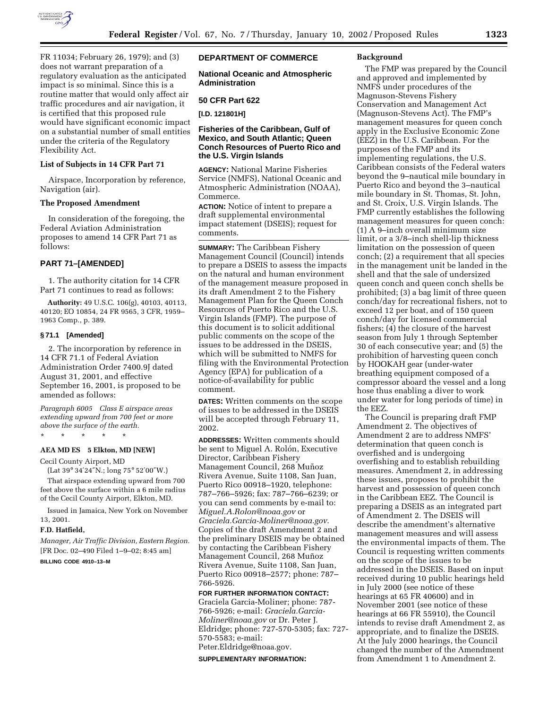

FR 11034; February 26, 1979); and (3) does not warrant preparation of a regulatory evaluation as the anticipated impact is so minimal. Since this is a routine matter that would only affect air traffic procedures and air navigation, it is certified that this proposed rule would have significant economic impact on a substantial number of small entities under the criteria of the Regulatory Flexibility Act.

### **List of Subjects in 14 CFR Part 71**

Airspace, Incorporation by reference, Navigation (air).

#### **The Proposed Amendment**

In consideration of the foregoing, the Federal Aviation Administration proposes to amend 14 CFR Part 71 as follows:

## **PART 71–[AMENDED]**

1. The authority citation for 14 CFR Part 71 continues to read as follows:

**Authority:** 49 U.S.C. 106(g), 40103, 40113, 40120; EO 10854, 24 FR 9565, 3 CFR, 1959– 1963 Comp., p. 389.

## **§ 71.1 [Amended]**

2. The incorporation by reference in 14 CFR 71.1 of Federal Aviation Administration Order 7400.9J dated August 31, 2001, and effective September 16, 2001, is proposed to be amended as follows:

*Paragraph 6005 Class E airspace areas extending upward from 700 feet or more above the surface of the earth.*

\* \* \* \* \*

### **AEA MD ES 5 Elkton, MD [NEW]**

Cecil County Airport, MD

(Lat 39° 34′24″N.; long 75° 52′00″W.)

That airspace extending upward from 700 feet above the surface within a 6 mile radius of the Cecil County Airport, Elkton, MD.

Issued in Jamaica, New York on November 13, 2001.

### **F.D. Hatfield,**

*Manager, Air Traffic Division, Eastern Region.* [FR Doc. 02–490 Filed 1–9–02; 8:45 am]

## **BILLING CODE 4910–13–M**

# **DEPARTMENT OF COMMERCE**

**National Oceanic and Atmospheric Administration**

### **50 CFR Part 622**

**[I.D. 121801H]**

## **Fisheries of the Caribbean, Gulf of Mexico, and South Atlantic; Queen Conch Resources of Puerto Rico and the U.S. Virgin Islands**

**AGENCY:** National Marine Fisheries Service (NMFS), National Oceanic and Atmospheric Administration (NOAA), Commerce.

**ACTION:** Notice of intent to prepare a draft supplemental environmental impact statement (DSEIS); request for comments.

**SUMMARY:** The Caribbean Fishery Management Council (Council) intends to prepare a DSEIS to assess the impacts on the natural and human environment of the management measure proposed in its draft Amendment 2 to the Fishery Management Plan for the Queen Conch Resources of Puerto Rico and the U.S. Virgin Islands (FMP). The purpose of this document is to solicit additional public comments on the scope of the issues to be addressed in the DSEIS, which will be submitted to NMFS for filing with the Environmental Protection Agency (EPA) for publication of a notice-of-availability for public comment.

**DATES:** Written comments on the scope of issues to be addressed in the DSEIS will be accepted through February 11, 2002.

**ADDRESSES:** Written comments should be sent to Miguel A. Rolón, Executive Director, Caribbean Fishery Management Council, 268 Muñoz Rivera Avenue, Suite 1108, San Juan, Puerto Rico 00918–1920, telephone: 787–766–5926; fax: 787–766–6239; or you can send comments by e-mail to: *Miguel.A.Rolon@noaa.gov* or *Graciela.Garcia-Moliner@noaa.gov*. Copies of the draft Amendment 2 and the preliminary DSEIS may be obtained by contacting the Caribbean Fishery Management Council, 268 Muñoz Rivera Avenue, Suite 1108, San Juan, Puerto Rico 00918–2577; phone: 787– 766-5926.

**FOR FURTHER INFORMATION CONTACT:** Graciela Garcia-Moliner; phone: 787- 766-5926; e-mail: *Graciela.Garcia-Moliner@noaa.gov* or Dr. Peter J. Eldridge; phone: 727-570-5305; fax: 727- 570-5583; e-mail:

# Peter.Eldridge@noaa.gov.

**SUPPLEMENTARY INFORMATION:**

## **Background**

The FMP was prepared by the Council and approved and implemented by NMFS under procedures of the Magnuson-Stevens Fishery Conservation and Management Act (Magnuson-Stevens Act). The FMP's management measures for queen conch apply in the Exclusive Economic Zone (EEZ) in the U.S. Caribbean. For the purposes of the FMP and its implementing regulations, the U.S. Caribbean consists of the Federal waters beyond the 9–nautical mile boundary in Puerto Rico and beyond the 3–nautical mile boundary in St. Thomas, St. John, and St. Croix, U.S. Virgin Islands. The FMP currently establishes the following management measures for queen conch: (1) A 9–inch overall minimum size limit, or a 3/8–inch shell-lip thickness limitation on the possession of queen conch; (2) a requirement that all species in the management unit be landed in the shell and that the sale of undersized queen conch and queen conch shells be prohibited; (3) a bag limit of three queen conch/day for recreational fishers, not to exceed 12 per boat, and of 150 queen conch/day for licensed commercial fishers; (4) the closure of the harvest season from July 1 through September 30 of each consecutive year; and (5) the prohibition of harvesting queen conch by HOOKAH gear (under-water breathing equipment composed of a compressor aboard the vessel and a long hose thus enabling a diver to work under water for long periods of time) in the EEZ.

The Council is preparing draft FMP Amendment 2. The objectives of Amendment 2 are to address NMFS' determination that queen conch is overfished and is undergoing overfishing and to establish rebuilding measures. Amendment 2, in addressing these issues, proposes to prohibit the harvest and possession of queen conch in the Caribbean EEZ. The Council is preparing a DSEIS as an integrated part of Amendment 2. The DSEIS will describe the amendment's alternative management measures and will assess the environmental impacts of them. The Council is requesting written comments on the scope of the issues to be addressed in the DSEIS. Based on input received during 10 public hearings held in July 2000 (see notice of these hearings at 65 FR 40600) and in November 2001 (see notice of these hearings at 66 FR 55910), the Council intends to revise draft Amendment 2, as appropriate, and to finalize the DSEIS. At the July 2000 hearings, the Council changed the number of the Amendment from Amendment 1 to Amendment 2.